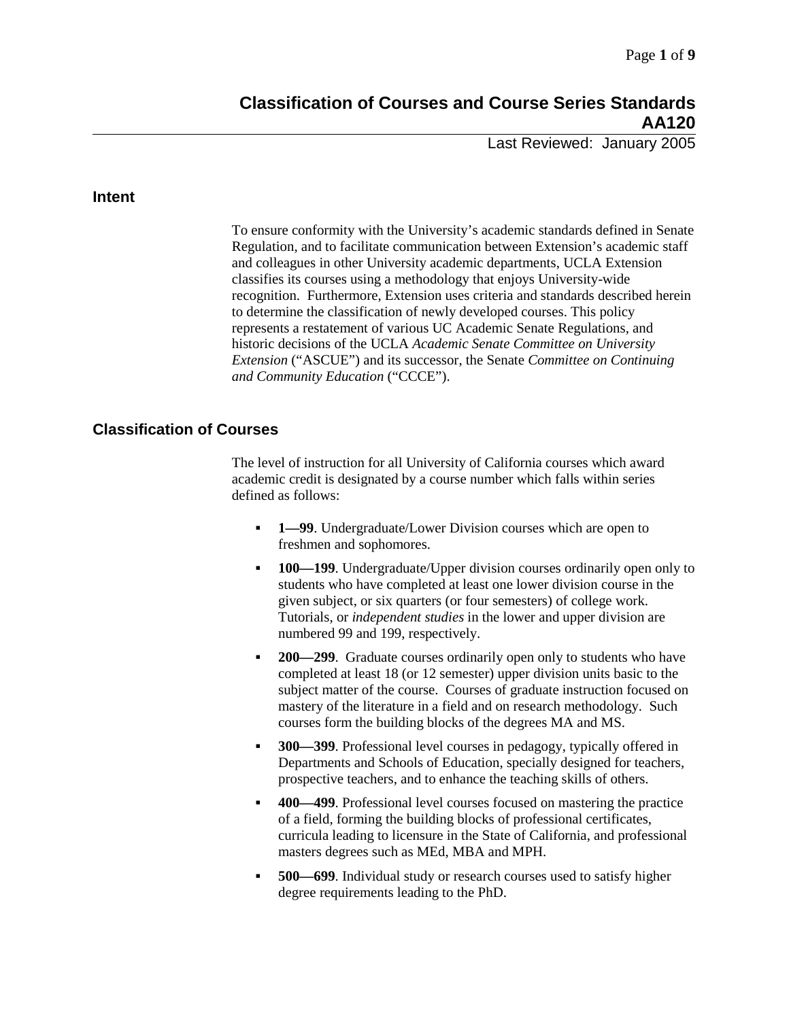Last Reviewed: January 2005

#### **Intent**

To ensure conformity with the University's academic standards defined in Senate Regulation, and to facilitate communication between Extension's academic staff and colleagues in other University academic departments, UCLA Extension classifies its courses using a methodology that enjoys University-wide recognition. Furthermore, Extension uses criteria and standards described herein to determine the classification of newly developed courses. This policy represents a restatement of various UC Academic Senate Regulations, and historic decisions of the UCLA *Academic Senate Committee on University Extension* ("ASCUE") and its successor, the Senate *Committee on Continuing and Community Education* ("CCCE").

### **Classification of Courses**

The level of instruction for all University of California courses which award academic credit is designated by a course number which falls within series defined as follows:

- **1—99**. Undergraduate/Lower Division courses which are open to freshmen and sophomores.
- **100—199.** Undergraduate/Upper division courses ordinarily open only to students who have completed at least one lower division course in the given subject, or six quarters (or four semesters) of college work. Tutorials, or *independent studies* in the lower and upper division are numbered 99 and 199, respectively.
- **200—299**. Graduate courses ordinarily open only to students who have completed at least 18 (or 12 semester) upper division units basic to the subject matter of the course. Courses of graduate instruction focused on mastery of the literature in a field and on research methodology. Such courses form the building blocks of the degrees MA and MS.
- **300—399**. Professional level courses in pedagogy, typically offered in Departments and Schools of Education, specially designed for teachers, prospective teachers, and to enhance the teaching skills of others.
- **400—499**. Professional level courses focused on mastering the practice of a field, forming the building blocks of professional certificates, curricula leading to licensure in the State of California, and professional masters degrees such as MEd, MBA and MPH.
- **500—699**. Individual study or research courses used to satisfy higher degree requirements leading to the PhD.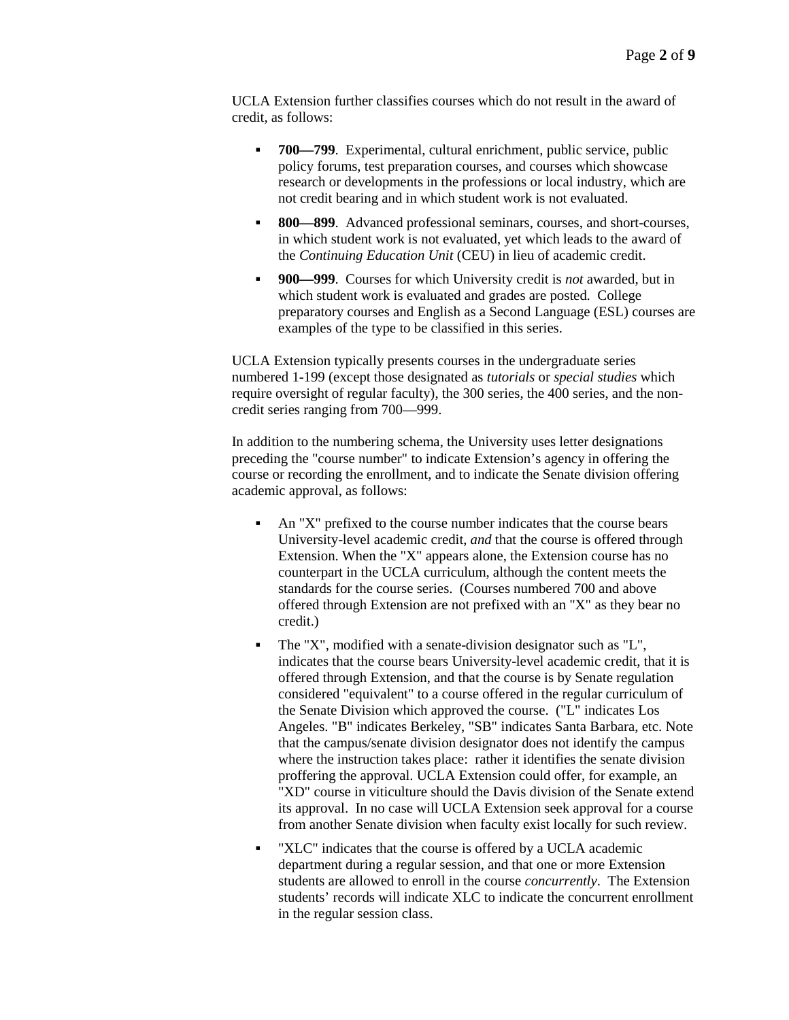UCLA Extension further classifies courses which do not result in the award of credit, as follows:

- **700—799**. Experimental, cultural enrichment, public service, public policy forums, test preparation courses, and courses which showcase research or developments in the professions or local industry, which are not credit bearing and in which student work is not evaluated.
- **800—899.** Advanced professional seminars, courses, and short-courses, in which student work is not evaluated, yet which leads to the award of the *Continuing Education Unit* (CEU) in lieu of academic credit.
- **900—999**. Courses for which University credit is *not* awarded, but in which student work is evaluated and grades are posted. College preparatory courses and English as a Second Language (ESL) courses are examples of the type to be classified in this series.

UCLA Extension typically presents courses in the undergraduate series numbered 1-199 (except those designated as *tutorials* or *special studies* which require oversight of regular faculty), the 300 series, the 400 series, and the noncredit series ranging from 700—999.

In addition to the numbering schema, the University uses letter designations preceding the "course number" to indicate Extension's agency in offering the course or recording the enrollment, and to indicate the Senate division offering academic approval, as follows:

- An "X" prefixed to the course number indicates that the course bears University-level academic credit, *and* that the course is offered through Extension. When the "X" appears alone, the Extension course has no counterpart in the UCLA curriculum, although the content meets the standards for the course series. (Courses numbered 700 and above offered through Extension are not prefixed with an "X" as they bear no credit.)
- The "X", modified with a senate-division designator such as "L", indicates that the course bears University-level academic credit, that it is offered through Extension, and that the course is by Senate regulation considered "equivalent" to a course offered in the regular curriculum of the Senate Division which approved the course. ("L" indicates Los Angeles. "B" indicates Berkeley, "SB" indicates Santa Barbara, etc. Note that the campus/senate division designator does not identify the campus where the instruction takes place: rather it identifies the senate division proffering the approval. UCLA Extension could offer, for example, an "XD" course in viticulture should the Davis division of the Senate extend its approval. In no case will UCLA Extension seek approval for a course from another Senate division when faculty exist locally for such review.
- "XLC" indicates that the course is offered by a UCLA academic department during a regular session, and that one or more Extension students are allowed to enroll in the course *concurrently*. The Extension students' records will indicate XLC to indicate the concurrent enrollment in the regular session class.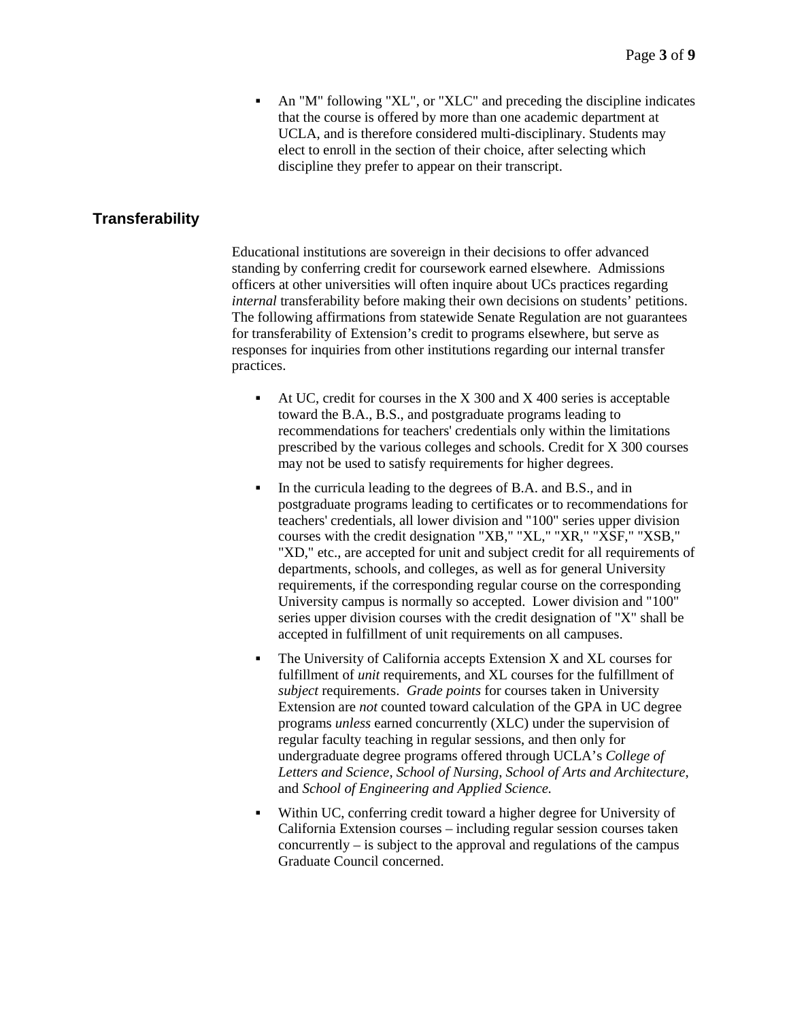An "M" following "XL", or "XLC" and preceding the discipline indicates that the course is offered by more than one academic department at UCLA, and is therefore considered multi-disciplinary. Students may elect to enroll in the section of their choice, after selecting which discipline they prefer to appear on their transcript.

### **Transferability**

Educational institutions are sovereign in their decisions to offer advanced standing by conferring credit for coursework earned elsewhere. Admissions officers at other universities will often inquire about UCs practices regarding *internal* transferability before making their own decisions on students' petitions. The following affirmations from statewide Senate Regulation are not guarantees for transferability of Extension's credit to programs elsewhere, but serve as responses for inquiries from other institutions regarding our internal transfer practices.

- At UC, credit for courses in the  $X$  300 and  $X$  400 series is acceptable toward the B.A., B.S., and postgraduate programs leading to recommendations for teachers' credentials only within the limitations prescribed by the various colleges and schools. Credit for X 300 courses may not be used to satisfy requirements for higher degrees.
- In the curricula leading to the degrees of B.A. and B.S., and in postgraduate programs leading to certificates or to recommendations for teachers' credentials, all lower division and "100" series upper division courses with the credit designation "XB," "XL," "XR," "XSF," "XSB," "XD," etc., are accepted for unit and subject credit for all requirements of departments, schools, and colleges, as well as for general University requirements, if the corresponding regular course on the corresponding University campus is normally so accepted. Lower division and "100" series upper division courses with the credit designation of "X" shall be accepted in fulfillment of unit requirements on all campuses.
- $\blacksquare$  The University of California accepts Extension X and XL courses for fulfillment of *unit* requirements, and XL courses for the fulfillment of *subject* requirements. *Grade points* for courses taken in University Extension are *not* counted toward calculation of the GPA in UC degree programs *unless* earned concurrently (XLC) under the supervision of regular faculty teaching in regular sessions, and then only for undergraduate degree programs offered through UCLA's *College of Letters and Science*, *School of Nursing*, *School of Arts and Architecture*, and *School of Engineering and Applied Science.*
- Within UC, conferring credit toward a higher degree for University of California Extension courses – including regular session courses taken concurrently – is subject to the approval and regulations of the campus Graduate Council concerned.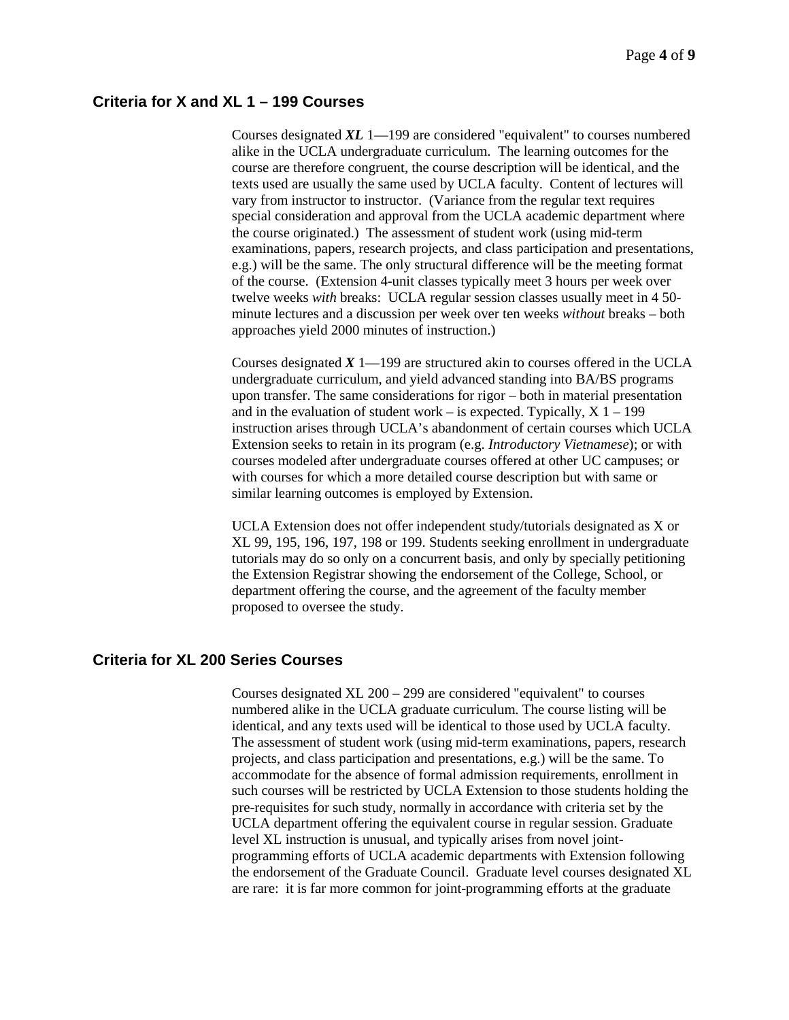# **Criteria for X and XL 1 – 199 Courses**

Courses designated *XL* 1—199 are considered "equivalent" to courses numbered alike in the UCLA undergraduate curriculum. The learning outcomes for the course are therefore congruent, the course description will be identical, and the texts used are usually the same used by UCLA faculty. Content of lectures will vary from instructor to instructor. (Variance from the regular text requires special consideration and approval from the UCLA academic department where the course originated.) The assessment of student work (using mid-term examinations, papers, research projects, and class participation and presentations, e.g.) will be the same. The only structural difference will be the meeting format of the course. (Extension 4-unit classes typically meet 3 hours per week over twelve weeks *with* breaks: UCLA regular session classes usually meet in 4 50 minute lectures and a discussion per week over ten weeks *without* breaks – both approaches yield 2000 minutes of instruction.)

Courses designated *X* 1—199 are structured akin to courses offered in the UCLA undergraduate curriculum, and yield advanced standing into BA/BS programs upon transfer. The same considerations for rigor – both in material presentation and in the evaluation of student work – is expected. Typically,  $X_1$  – 199 instruction arises through UCLA's abandonment of certain courses which UCLA Extension seeks to retain in its program (e.g. *Introductory Vietnamese*); or with courses modeled after undergraduate courses offered at other UC campuses; or with courses for which a more detailed course description but with same or similar learning outcomes is employed by Extension.

UCLA Extension does not offer independent study/tutorials designated as X or XL 99, 195, 196, 197, 198 or 199. Students seeking enrollment in undergraduate tutorials may do so only on a concurrent basis, and only by specially petitioning the Extension Registrar showing the endorsement of the College, School, or department offering the course, and the agreement of the faculty member proposed to oversee the study.

### **Criteria for XL 200 Series Courses**

Courses designated XL 200 – 299 are considered "equivalent" to courses numbered alike in the UCLA graduate curriculum. The course listing will be identical, and any texts used will be identical to those used by UCLA faculty. The assessment of student work (using mid-term examinations, papers, research projects, and class participation and presentations, e.g.) will be the same. To accommodate for the absence of formal admission requirements, enrollment in such courses will be restricted by UCLA Extension to those students holding the pre-requisites for such study, normally in accordance with criteria set by the UCLA department offering the equivalent course in regular session. Graduate level XL instruction is unusual, and typically arises from novel jointprogramming efforts of UCLA academic departments with Extension following the endorsement of the Graduate Council. Graduate level courses designated XL are rare: it is far more common for joint-programming efforts at the graduate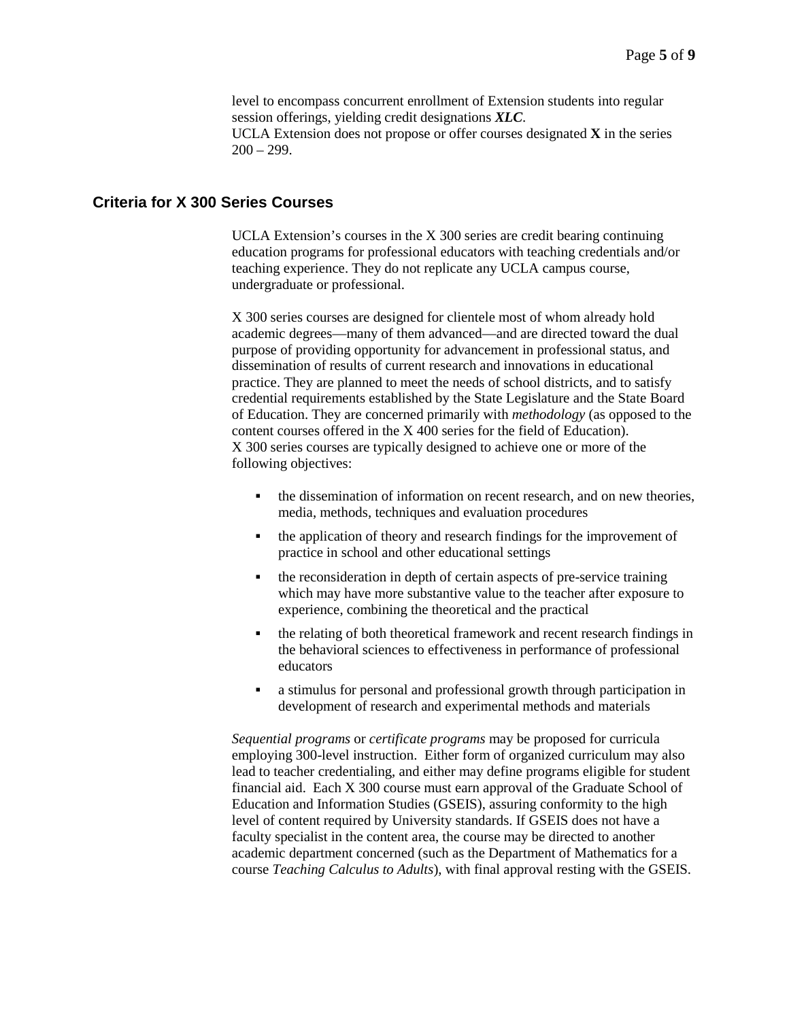level to encompass concurrent enrollment of Extension students into regular session offerings, yielding credit designations *XLC*. UCLA Extension does not propose or offer courses designated **X** in the series  $200 - 299.$ 

#### **Criteria for X 300 Series Courses**

UCLA Extension's courses in the X 300 series are credit bearing continuing education programs for professional educators with teaching credentials and/or teaching experience. They do not replicate any UCLA campus course, undergraduate or professional.

X 300 series courses are designed for clientele most of whom already hold academic degrees—many of them advanced—and are directed toward the dual purpose of providing opportunity for advancement in professional status, and dissemination of results of current research and innovations in educational practice. They are planned to meet the needs of school districts, and to satisfy credential requirements established by the State Legislature and the State Board of Education. They are concerned primarily with *methodology* (as opposed to the content courses offered in the X 400 series for the field of Education). X 300 series courses are typically designed to achieve one or more of the following objectives:

- the dissemination of information on recent research, and on new theories, media, methods, techniques and evaluation procedures
- the application of theory and research findings for the improvement of practice in school and other educational settings
- the reconsideration in depth of certain aspects of pre-service training which may have more substantive value to the teacher after exposure to experience, combining the theoretical and the practical
- the relating of both theoretical framework and recent research findings in the behavioral sciences to effectiveness in performance of professional educators
- a stimulus for personal and professional growth through participation in development of research and experimental methods and materials

*Sequential programs* or *certificate programs* may be proposed for curricula employing 300-level instruction. Either form of organized curriculum may also lead to teacher credentialing, and either may define programs eligible for student financial aid. Each X 300 course must earn approval of the Graduate School of Education and Information Studies (GSEIS), assuring conformity to the high level of content required by University standards. If GSEIS does not have a faculty specialist in the content area, the course may be directed to another academic department concerned (such as the Department of Mathematics for a course *Teaching Calculus to Adults*), with final approval resting with the GSEIS.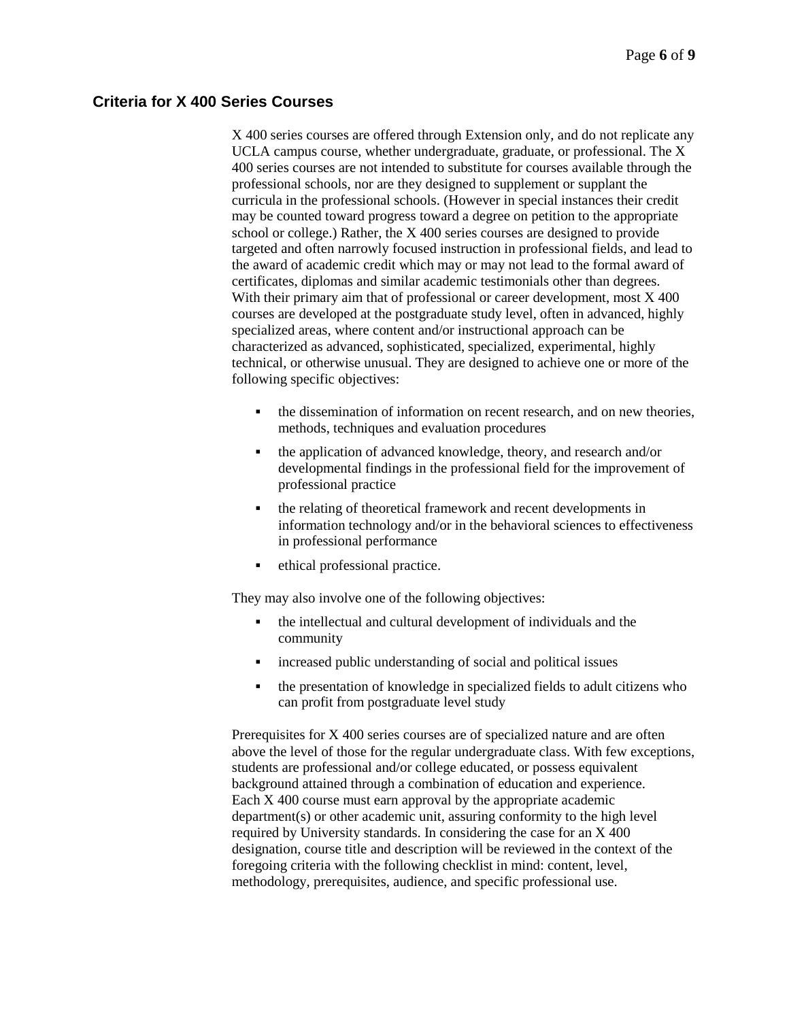### **Criteria for X 400 Series Courses**

X 400 series courses are offered through Extension only, and do not replicate any UCLA campus course, whether undergraduate, graduate, or professional. The X 400 series courses are not intended to substitute for courses available through the professional schools, nor are they designed to supplement or supplant the curricula in the professional schools. (However in special instances their credit may be counted toward progress toward a degree on petition to the appropriate school or college.) Rather, the X 400 series courses are designed to provide targeted and often narrowly focused instruction in professional fields, and lead to the award of academic credit which may or may not lead to the formal award of certificates, diplomas and similar academic testimonials other than degrees. With their primary aim that of professional or career development, most X 400 courses are developed at the postgraduate study level, often in advanced, highly specialized areas, where content and/or instructional approach can be characterized as advanced, sophisticated, specialized, experimental, highly technical, or otherwise unusual. They are designed to achieve one or more of the following specific objectives:

- the dissemination of information on recent research, and on new theories, methods, techniques and evaluation procedures
- the application of advanced knowledge, theory, and research and/or developmental findings in the professional field for the improvement of professional practice
- the relating of theoretical framework and recent developments in information technology and/or in the behavioral sciences to effectiveness in professional performance
- ethical professional practice.

They may also involve one of the following objectives:

- the intellectual and cultural development of individuals and the community
- increased public understanding of social and political issues
- the presentation of knowledge in specialized fields to adult citizens who can profit from postgraduate level study

Prerequisites for X 400 series courses are of specialized nature and are often above the level of those for the regular undergraduate class. With few exceptions, students are professional and/or college educated, or possess equivalent background attained through a combination of education and experience. Each X 400 course must earn approval by the appropriate academic department(s) or other academic unit, assuring conformity to the high level required by University standards. In considering the case for an X 400 designation, course title and description will be reviewed in the context of the foregoing criteria with the following checklist in mind: content, level, methodology, prerequisites, audience, and specific professional use.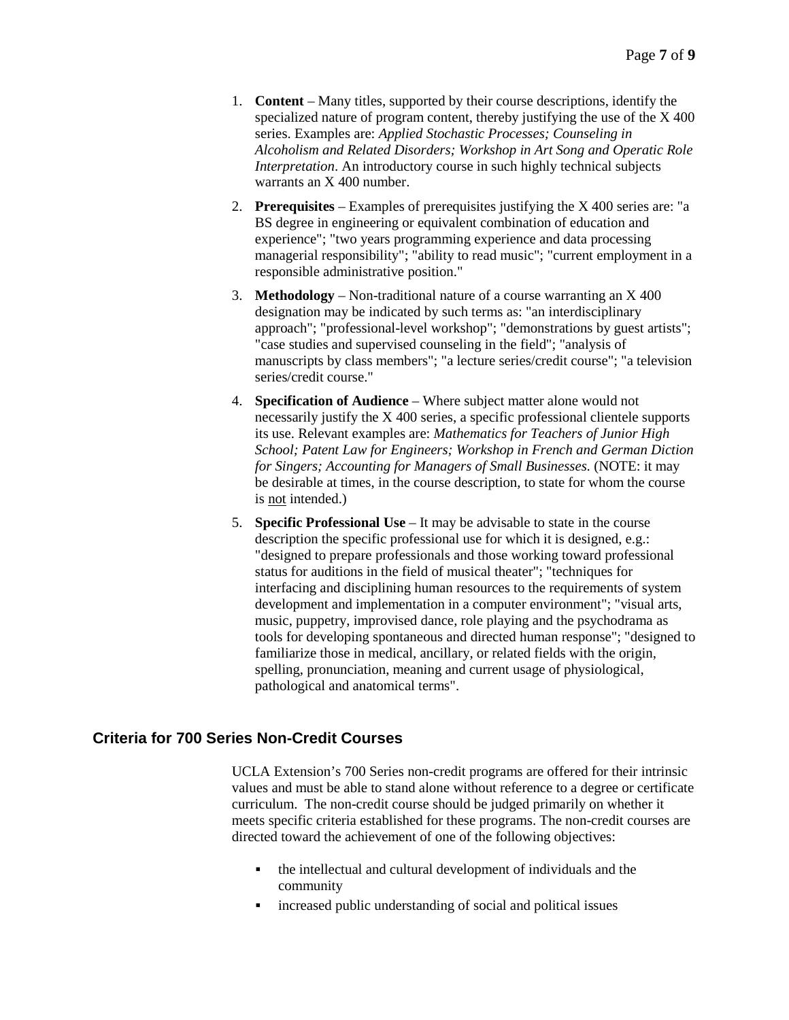- 1. **Content** Many titles, supported by their course descriptions, identify the specialized nature of program content, thereby justifying the use of the X 400 series. Examples are: *Applied Stochastic Processes; Counseling in Alcoholism and Related Disorders; Workshop in Art Song and Operatic Role Interpretation*. An introductory course in such highly technical subjects warrants an X 400 number.
- 2. **Prerequisites** Examples of prerequisites justifying the X 400 series are: "a BS degree in engineering or equivalent combination of education and experience"; "two years programming experience and data processing managerial responsibility"; "ability to read music"; "current employment in a responsible administrative position."
- 3. **Methodology** Non-traditional nature of a course warranting an X 400 designation may be indicated by such terms as: "an interdisciplinary approach"; "professional-level workshop"; "demonstrations by guest artists"; "case studies and supervised counseling in the field"; "analysis of manuscripts by class members"; "a lecture series/credit course"; "a television series/credit course."
- 4. **Specification of Audience** Where subject matter alone would not necessarily justify the X 400 series, a specific professional clientele supports its use. Relevant examples are: *Mathematics for Teachers of Junior High School; Patent Law for Engineers; Workshop in French and German Diction for Singers; Accounting for Managers of Small Businesses.* (NOTE: it may be desirable at times, in the course description, to state for whom the course is not intended.)
- 5. **Specific Professional Use** It may be advisable to state in the course description the specific professional use for which it is designed, e.g.: "designed to prepare professionals and those working toward professional status for auditions in the field of musical theater"; "techniques for interfacing and disciplining human resources to the requirements of system development and implementation in a computer environment"; "visual arts, music, puppetry, improvised dance, role playing and the psychodrama as tools for developing spontaneous and directed human response"; "designed to familiarize those in medical, ancillary, or related fields with the origin, spelling, pronunciation, meaning and current usage of physiological, pathological and anatomical terms".

### **Criteria for 700 Series Non-Credit Courses**

UCLA Extension's 700 Series non-credit programs are offered for their intrinsic values and must be able to stand alone without reference to a degree or certificate curriculum. The non-credit course should be judged primarily on whether it meets specific criteria established for these programs. The non-credit courses are directed toward the achievement of one of the following objectives:

- the intellectual and cultural development of individuals and the community
- **•** increased public understanding of social and political issues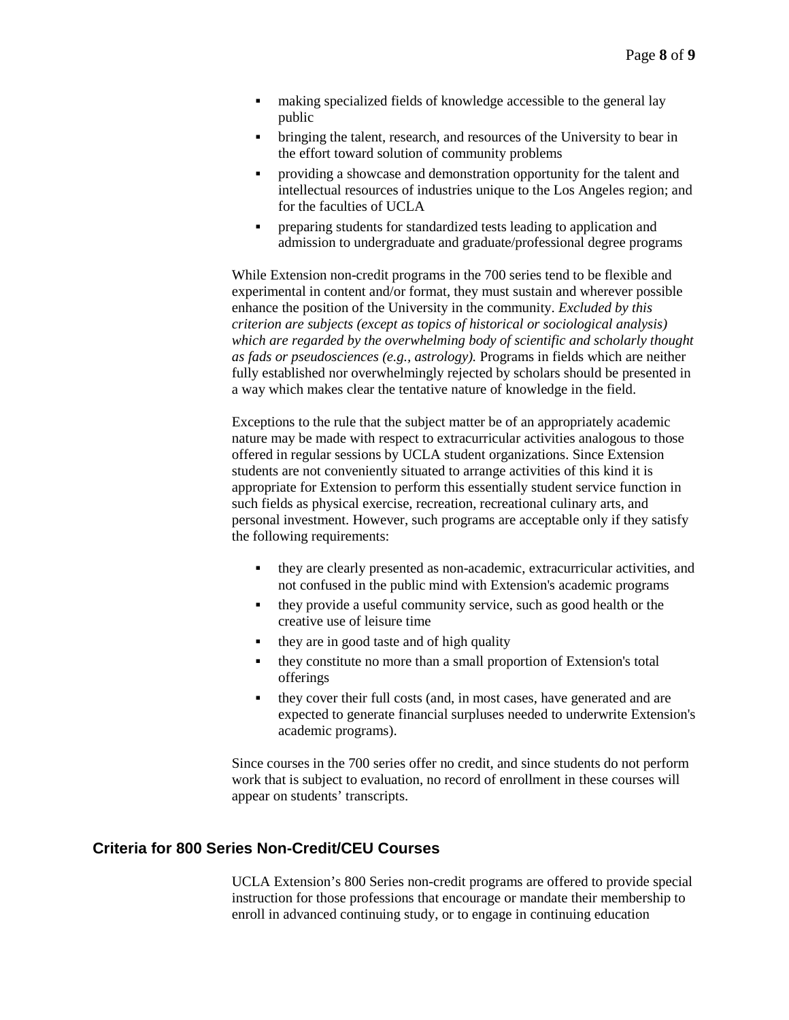- making specialized fields of knowledge accessible to the general lay public
- bringing the talent, research, and resources of the University to bear in the effort toward solution of community problems
- providing a showcase and demonstration opportunity for the talent and intellectual resources of industries unique to the Los Angeles region; and for the faculties of UCLA
- **PEDECISE 1** preparing students for standardized tests leading to application and admission to undergraduate and graduate/professional degree programs

While Extension non-credit programs in the 700 series tend to be flexible and experimental in content and/or format, they must sustain and wherever possible enhance the position of the University in the community. *Excluded by this criterion are subjects (except as topics of historical or sociological analysis) which are regarded by the overwhelming body of scientific and scholarly thought as fads or pseudosciences (e.g., astrology).* Programs in fields which are neither fully established nor overwhelmingly rejected by scholars should be presented in a way which makes clear the tentative nature of knowledge in the field.

Exceptions to the rule that the subject matter be of an appropriately academic nature may be made with respect to extracurricular activities analogous to those offered in regular sessions by UCLA student organizations. Since Extension students are not conveniently situated to arrange activities of this kind it is appropriate for Extension to perform this essentially student service function in such fields as physical exercise, recreation, recreational culinary arts, and personal investment. However, such programs are acceptable only if they satisfy the following requirements:

- they are clearly presented as non-academic, extracurricular activities, and not confused in the public mind with Extension's academic programs
- they provide a useful community service, such as good health or the creative use of leisure time
- $\bullet$  they are in good taste and of high quality
- they constitute no more than a small proportion of Extension's total offerings
- they cover their full costs (and, in most cases, have generated and are expected to generate financial surpluses needed to underwrite Extension's academic programs).

Since courses in the 700 series offer no credit, and since students do not perform work that is subject to evaluation, no record of enrollment in these courses will appear on students' transcripts.

## **Criteria for 800 Series Non-Credit/CEU Courses**

UCLA Extension's 800 Series non-credit programs are offered to provide special instruction for those professions that encourage or mandate their membership to enroll in advanced continuing study, or to engage in continuing education